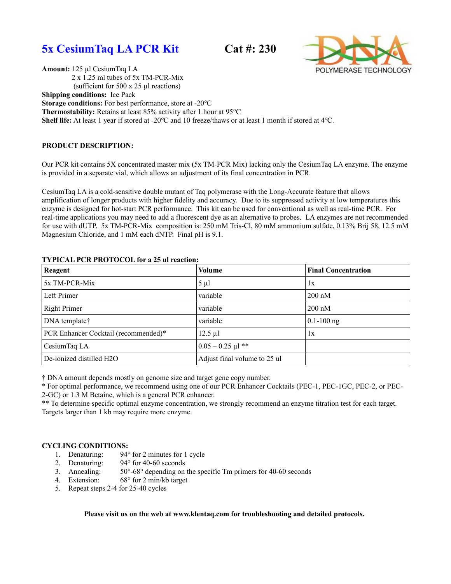



**Amount:** 125 µl CesiumTaq LA 2 x 1.25 ml tubes of 5x TM-PCR-Mix (sufficient for 500 x 25 µl reactions) **Shipping conditions:** Ice Pack

**Storage conditions:** For best performance, store at -20 °C

**Thermostability:** Retains at least 85% activity after 1 hour at 95°C

**Shelf life:** At least 1 year if stored at -20 $\degree$ C and 10 freeze/thaws or at least 1 month if stored at 4 $\degree$ C.

## **PRODUCT DESCRIPTION:**

Our PCR kit contains 5X concentrated master mix (5x TM-PCR Mix) lacking only the CesiumTaq LA enzyme. The enzyme is provided in a separate vial, which allows an adjustment of its final concentration in PCR.

CesiumTaq LA is a cold-sensitive double mutant of Taq polymerase with the Long-Accurate feature that allows amplification of longer products with higher fidelity and accuracy. Due to its suppressed activity at low temperatures this enzyme is designed for hot-start PCR performance. This kit can be used for conventional as well as real-time PCR. For real-time applications you may need to add a fluorescent dye as an alternative to probes. LA enzymes are not recommended for use with dUTP. 5x TM-PCR-Mix composition is: 250 mM Tris-Cl, 80 mM ammonium sulfate, 0.13% Brij 58, 12.5 mM Magnesium Chloride, and 1 mM each dNTP. Final pH is 9.1.

| Reagent                              | Volume                       | <b>Final Concentration</b> |
|--------------------------------------|------------------------------|----------------------------|
| 5x TM-PCR-Mix                        | $5 \mu l$                    | 1x                         |
| Left Primer                          | variable                     | $200 \text{ nM}$           |
| Right Primer                         | variable                     | $200 \text{ nM}$           |
| DNA template <sup>†</sup>            | variable                     | $0.1 - 100$ ng             |
| PCR Enhancer Cocktail (recommended)* | $12.5 \mu l$                 | 1x                         |
| CesiumTaq LA                         | $0.05 - 0.25$ µl **          |                            |
| De-ionized distilled H2O             | Adjust final volume to 25 ul |                            |

## **TYPICAL PCR PROTOCOL for a 25 ul reaction:**

† DNA amount depends mostly on genome size and target gene copy number.

\* For optimal performance, we recommend using one of our PCR Enhancer Cocktails (PEC-1, PEC-1GC, PEC-2, or PEC-2-GC) or 1.3 M Betaine, which is a general PCR enhancer.

\*\* To determine specific optimal enzyme concentration, we strongly recommend an enzyme titration test for each target. Targets larger than 1 kb may require more enzyme.

## **CYCLING CONDITIONS:**

- 1. Denaturing: 94° for 2 minutes for 1 cycle
- 2. Denaturing: 94° for 40-60 seconds<br>3. Annealing: 50°-68° depending on
- $50^{\circ}$ -68° depending on the specific Tm primers for 40-60 seconds
- 4. Extension: 68° for 2 min/kb target
- 5. Repeat steps 2-4 for 25-40 cycles

**Please visit us on the web at www.klentaq.com for troubleshooting and detailed protocols.**